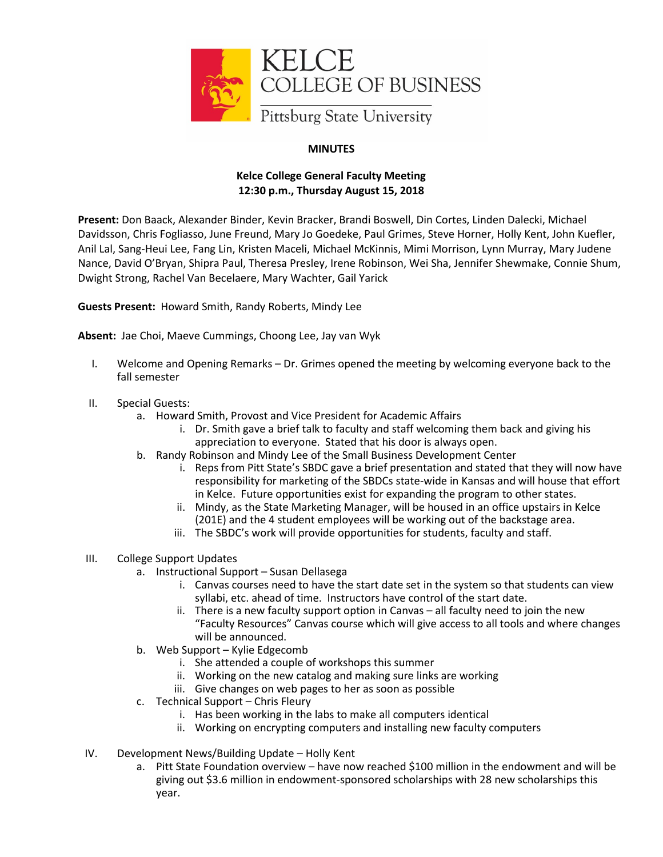

## **MINUTES**

## **Kelce College General Faculty Meeting 12:30 p.m., Thursday August 15, 2018**

**Present:** Don Baack, Alexander Binder, Kevin Bracker, Brandi Boswell, Din Cortes, Linden Dalecki, Michael Davidsson, Chris Fogliasso, June Freund, Mary Jo Goedeke, Paul Grimes, Steve Horner, Holly Kent, John Kuefler, Anil Lal, Sang-Heui Lee, Fang Lin, Kristen Maceli, Michael McKinnis, Mimi Morrison, Lynn Murray, Mary Judene Nance, David O'Bryan, Shipra Paul, Theresa Presley, Irene Robinson, Wei Sha, Jennifer Shewmake, Connie Shum, Dwight Strong, Rachel Van Becelaere, Mary Wachter, Gail Yarick

**Guests Present:** Howard Smith, Randy Roberts, Mindy Lee

**Absent:** Jae Choi, Maeve Cummings, Choong Lee, Jay van Wyk

- I. Welcome and Opening Remarks Dr. Grimes opened the meeting by welcoming everyone back to the fall semester
- II. Special Guests:
	- a. Howard Smith, Provost and Vice President for Academic Affairs
		- i. Dr. Smith gave a brief talk to faculty and staff welcoming them back and giving his appreciation to everyone. Stated that his door is always open.
	- b. Randy Robinson and Mindy Lee of the Small Business Development Center
		- i. Reps from Pitt State's SBDC gave a brief presentation and stated that they will now have responsibility for marketing of the SBDCs state-wide in Kansas and will house that effort in Kelce. Future opportunities exist for expanding the program to other states.
		- ii. Mindy, as the State Marketing Manager, will be housed in an office upstairs in Kelce (201E) and the 4 student employees will be working out of the backstage area.
		- iii. The SBDC's work will provide opportunities for students, faculty and staff.
- III. College Support Updates
	- a. Instructional Support Susan Dellasega
		- i. Canvas courses need to have the start date set in the system so that students can view syllabi, etc. ahead of time. Instructors have control of the start date.
		- ii. There is a new faculty support option in Canvas all faculty need to join the new "Faculty Resources" Canvas course which will give access to all tools and where changes will be announced.
	- b. Web Support Kylie Edgecomb
		- i. She attended a couple of workshops this summer
		- ii. Working on the new catalog and making sure links are working
		- iii. Give changes on web pages to her as soon as possible
	- c. Technical Support Chris Fleury
		- i. Has been working in the labs to make all computers identical
		- ii. Working on encrypting computers and installing new faculty computers
- IV. Development News/Building Update Holly Kent
	- a. Pitt State Foundation overview have now reached \$100 million in the endowment and will be giving out \$3.6 million in endowment-sponsored scholarships with 28 new scholarships this year.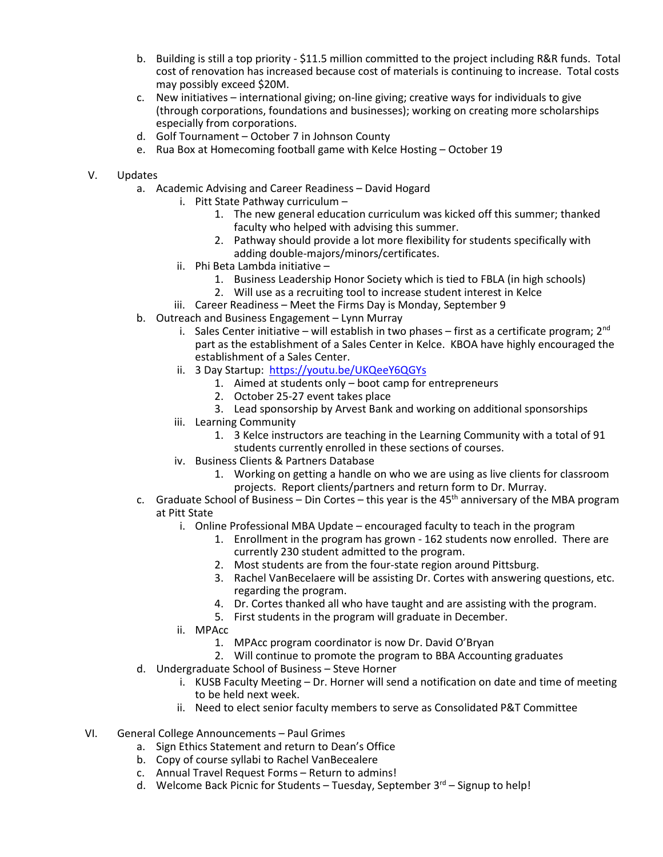- b. Building is still a top priority \$11.5 million committed to the project including R&R funds. Total cost of renovation has increased because cost of materials is continuing to increase. Total costs may possibly exceed \$20M.
- c. New initiatives international giving; on-line giving; creative ways for individuals to give (through corporations, foundations and businesses); working on creating more scholarships especially from corporations.
- d. Golf Tournament October 7 in Johnson County
- e. Rua Box at Homecoming football game with Kelce Hosting October 19
- V. Updates
	- a. Academic Advising and Career Readiness David Hogard
		- i. Pitt State Pathway curriculum
			- 1. The new general education curriculum was kicked off this summer; thanked faculty who helped with advising this summer.
			- 2. Pathway should provide a lot more flexibility for students specifically with adding double-majors/minors/certificates.
		- ii. Phi Beta Lambda initiative
			- 1. Business Leadership Honor Society which is tied to FBLA (in high schools)
			- 2. Will use as a recruiting tool to increase student interest in Kelce
		- iii. Career Readiness Meet the Firms Day is Monday, September 9
	- b. Outreach and Business Engagement Lynn Murray
		- i. Sales Center initiative will establish in two phases first as a certificate program;  $2^{nd}$ part as the establishment of a Sales Center in Kelce. KBOA have highly encouraged the establishment of a Sales Center.
		- ii. 3 Day Startup: <https://youtu.be/UKQeeY6QGYs>
			- 1. Aimed at students only boot camp for entrepreneurs
			- 2. October 25-27 event takes place
			- 3. Lead sponsorship by Arvest Bank and working on additional sponsorships
		- iii. Learning Community
			- 1. 3 Kelce instructors are teaching in the Learning Community with a total of 91 students currently enrolled in these sections of courses.
		- iv. Business Clients & Partners Database
			- 1. Working on getting a handle on who we are using as live clients for classroom projects. Report clients/partners and return form to Dr. Murray.
	- c. Graduate School of Business Din Cortes this year is the  $45<sup>th</sup>$  anniversary of the MBA program at Pitt State
		- i. Online Professional MBA Update encouraged faculty to teach in the program
			- 1. Enrollment in the program has grown 162 students now enrolled. There are currently 230 student admitted to the program.
			- 2. Most students are from the four-state region around Pittsburg.
			- 3. Rachel VanBecelaere will be assisting Dr. Cortes with answering questions, etc. regarding the program.
			- 4. Dr. Cortes thanked all who have taught and are assisting with the program.
			- 5. First students in the program will graduate in December.
		- ii. MPAcc
			- 1. MPAcc program coordinator is now Dr. David O'Bryan
			- 2. Will continue to promote the program to BBA Accounting graduates
	- d. Undergraduate School of Business Steve Horner
		- i. KUSB Faculty Meeting Dr. Horner will send a notification on date and time of meeting to be held next week.
		- ii. Need to elect senior faculty members to serve as Consolidated P&T Committee
- VI. General College Announcements Paul Grimes
	- a. Sign Ethics Statement and return to Dean's Office
	- b. Copy of course syllabi to Rachel VanBecealere
	- c. Annual Travel Request Forms Return to admins!
	- d. Welcome Back Picnic for Students Tuesday, September  $3^{rd}$  Signup to help!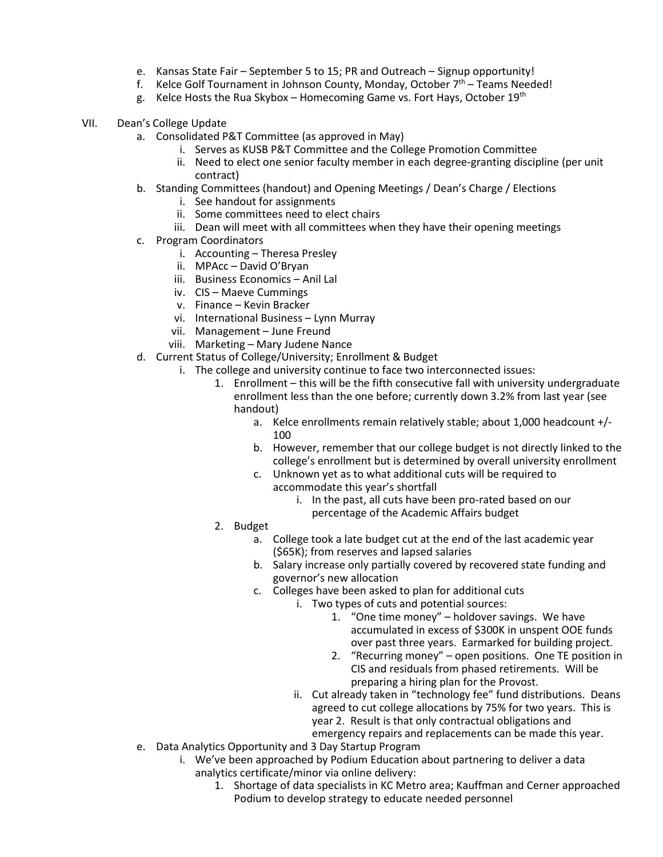- e. Kansas State Fair September 5 to 15; PR and Outreach Signup opportunity!
- f. Kelce Golf Tournament in Johnson County, Monday, October  $7<sup>th</sup>$  Teams Needed!
- g. Kelce Hosts the Rua Skybox Homecoming Game vs. Fort Hays, October  $19^{th}$
- VII. Dean's College Update
	- a. Consolidated P&T Committee (as approved in May)
		- i. Serves as KUSB P&T Committee and the College Promotion Committee
		- ii. Need to elect one senior faculty member in each degree-granting discipline (per unit contract)
	- b. Standing Committees (handout) and Opening Meetings / Dean's Charge / Elections
		- i. See handout for assignments
		- ii. Some committees need to elect chairs
		- iii. Dean will meet with all committees when they have their opening meetings
	- c. Program Coordinators
		- i. Accounting Theresa Presley
		- ii. MPAcc David O'Bryan
		- iii. Business Economics Anil Lal
		- iv. CIS Maeve Cummings
		- v. Finance Kevin Bracker
		- vi. International Business Lynn Murray
		- vii. Management June Freund
		- viii. Marketing Mary Judene Nance
	- d. Current Status of College/University; Enrollment & Budget
		- i. The college and university continue to face two interconnected issues:
			- 1. Enrollment this will be the fifth consecutive fall with university undergraduate enrollment less than the one before; currently down 3.2% from last year (see handout)
				- a. Kelce enrollments remain relatively stable; about 1,000 headcount +/- 100
				- b. However, remember that our college budget is not directly linked to the college's enrollment but is determined by overall university enrollment
				- c. Unknown yet as to what additional cuts will be required to accommodate this year's shortfall
					- i. In the past, all cuts have been pro-rated based on our percentage of the Academic Affairs budget
			- 2. Budget
				- a. College took a late budget cut at the end of the last academic year (\$65K); from reserves and lapsed salaries
				- b. Salary increase only partially covered by recovered state funding and governor's new allocation
				- c. Colleges have been asked to plan for additional cuts
					- i. Two types of cuts and potential sources:
						- 1. "One time money" holdover savings. We have accumulated in excess of \$300K in unspent OOE funds over past three years. Earmarked for building project.
						- 2. "Recurring money" open positions. One TE position in CIS and residuals from phased retirements. Will be preparing a hiring plan for the Provost.
					- ii. Cut already taken in "technology fee" fund distributions. Deans agreed to cut college allocations by 75% for two years. This is year 2. Result is that only contractual obligations and emergency repairs and replacements can be made this year.
	- e. Data Analytics Opportunity and 3 Day Startup Program
		- i. We've been approached by Podium Education about partnering to deliver a data analytics certificate/minor via online delivery:
			- 1. Shortage of data specialists in KC Metro area; Kauffman and Cerner approached Podium to develop strategy to educate needed personnel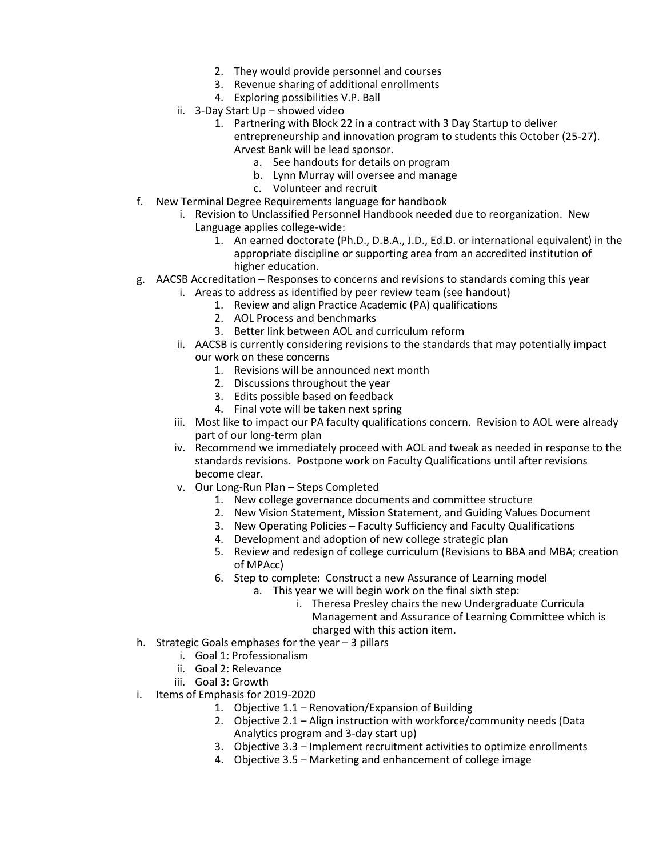- 2. They would provide personnel and courses
- 3. Revenue sharing of additional enrollments
- 4. Exploring possibilities V.P. Ball
- ii. 3-Day Start Up showed video
	- 1. Partnering with Block 22 in a contract with 3 Day Startup to deliver entrepreneurship and innovation program to students this October (25-27).
		- Arvest Bank will be lead sponsor.
			- a. See handouts for details on program
			- b. Lynn Murray will oversee and manage
			- c. Volunteer and recruit
- f. New Terminal Degree Requirements language for handbook
	- i. Revision to Unclassified Personnel Handbook needed due to reorganization. New Language applies college-wide:
		- 1. An earned doctorate (Ph.D., D.B.A., J.D., Ed.D. or international equivalent) in the appropriate discipline or supporting area from an accredited institution of higher education.
- g. AACSB Accreditation Responses to concerns and revisions to standards coming this year
	- i. Areas to address as identified by peer review team (see handout)
		- 1. Review and align Practice Academic (PA) qualifications
		- 2. AOL Process and benchmarks
		- 3. Better link between AOL and curriculum reform
	- ii. AACSB is currently considering revisions to the standards that may potentially impact our work on these concerns
		- 1. Revisions will be announced next month
		- 2. Discussions throughout the year
		- 3. Edits possible based on feedback
		- 4. Final vote will be taken next spring
	- iii. Most like to impact our PA faculty qualifications concern. Revision to AOL were already part of our long-term plan
	- iv. Recommend we immediately proceed with AOL and tweak as needed in response to the standards revisions. Postpone work on Faculty Qualifications until after revisions become clear.
	- v. Our Long-Run Plan Steps Completed
		- 1. New college governance documents and committee structure
		- 2. New Vision Statement, Mission Statement, and Guiding Values Document
		- 3. New Operating Policies Faculty Sufficiency and Faculty Qualifications
		- 4. Development and adoption of new college strategic plan
		- 5. Review and redesign of college curriculum (Revisions to BBA and MBA; creation of MPAcc)
		- 6. Step to complete: Construct a new Assurance of Learning model
			- a. This year we will begin work on the final sixth step:
				- i. Theresa Presley chairs the new Undergraduate Curricula Management and Assurance of Learning Committee which is charged with this action item.
- h. Strategic Goals emphases for the year 3 pillars
	- i. Goal 1: Professionalism
	- ii. Goal 2: Relevance
	- iii. Goal 3: Growth
- i. Items of Emphasis for 2019-2020
	- 1. Objective 1.1 Renovation/Expansion of Building
	- 2. Objective 2.1 Align instruction with workforce/community needs (Data Analytics program and 3-day start up)
	- 3. Objective 3.3 Implement recruitment activities to optimize enrollments
	- 4. Objective 3.5 Marketing and enhancement of college image